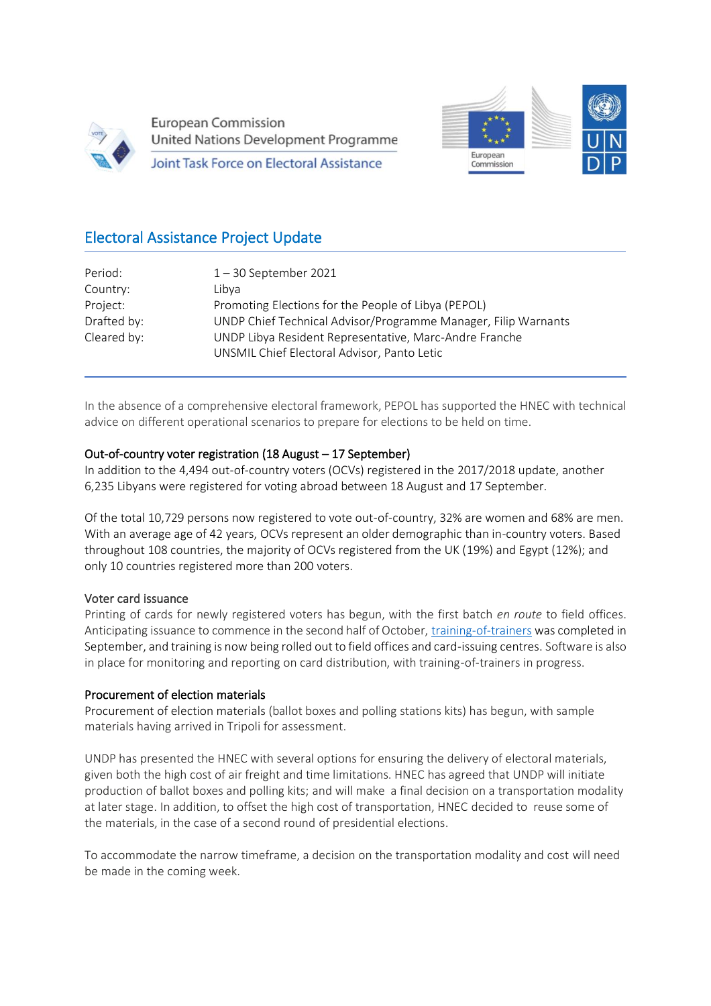

Ī

**European Commission United Nations Development Programme** 

Joint Task Force on Electoral Assistance



# Electoral Assistance Project Update

| Period:     | $1 - 30$ September 2021                                                                               |
|-------------|-------------------------------------------------------------------------------------------------------|
| Country:    | Libva                                                                                                 |
| Project:    | Promoting Elections for the People of Libya (PEPOL)                                                   |
| Drafted by: | UNDP Chief Technical Advisor/Programme Manager, Filip Warnants                                        |
| Cleared by: | UNDP Libya Resident Representative, Marc-Andre Franche<br>UNSMIL Chief Electoral Advisor, Panto Letic |

In the absence of a comprehensive electoral framework, PEPOL has supported the HNEC with technical advice on different operational scenarios to prepare for elections to be held on time.

#### Out-of-country voter registration (18 August – 17 September)

In addition to the 4,494 out-of-country voters (OCVs) registered in the 2017/2018 update, another 6,235 Libyans were registered for voting abroad between 18 August and 17 September.

Of the total 10,729 persons now registered to vote out-of-country, 32% are women and 68% are men. With an average age of 42 years, OCVs represent an older demographic than in-country voters. Based throughout 108 countries, the majority of OCVs registered from the UK (19%) and Egypt (12%); and only 10 countries registered more than 200 voters.

#### Voter card issuance

Printing of cards for newly registered voters has begun, with the first batch *en route* to field offices. Anticipating issuance to commence in the second half of October, [training-of-trainers](https://www.facebook.com/watch/?v=1032687644160632¬if_id=1632694052976864¬if_t=watch_follower_video&ref=notif) was completed in September, and training is now being rolled out to field offices and card-issuing centres. Software is also in place for monitoring and reporting on card distribution, with training-of-trainers in progress.

#### Procurement of election materials

Procurement of election materials (ballot boxes and polling stations kits) has begun, with sample materials having arrived in Tripoli for assessment.

UNDP has presented the HNEC with several options for ensuring the delivery of electoral materials, given both the high cost of air freight and time limitations. HNEC has agreed that UNDP will initiate production of ballot boxes and polling kits; and will make a final decision on a transportation modality at later stage. In addition, to offset the high cost of transportation, HNEC decided to reuse some of the materials, in the case of a second round of presidential elections.

To accommodate the narrow timeframe, a decision on the transportation modality and cost will need be made in the coming week.